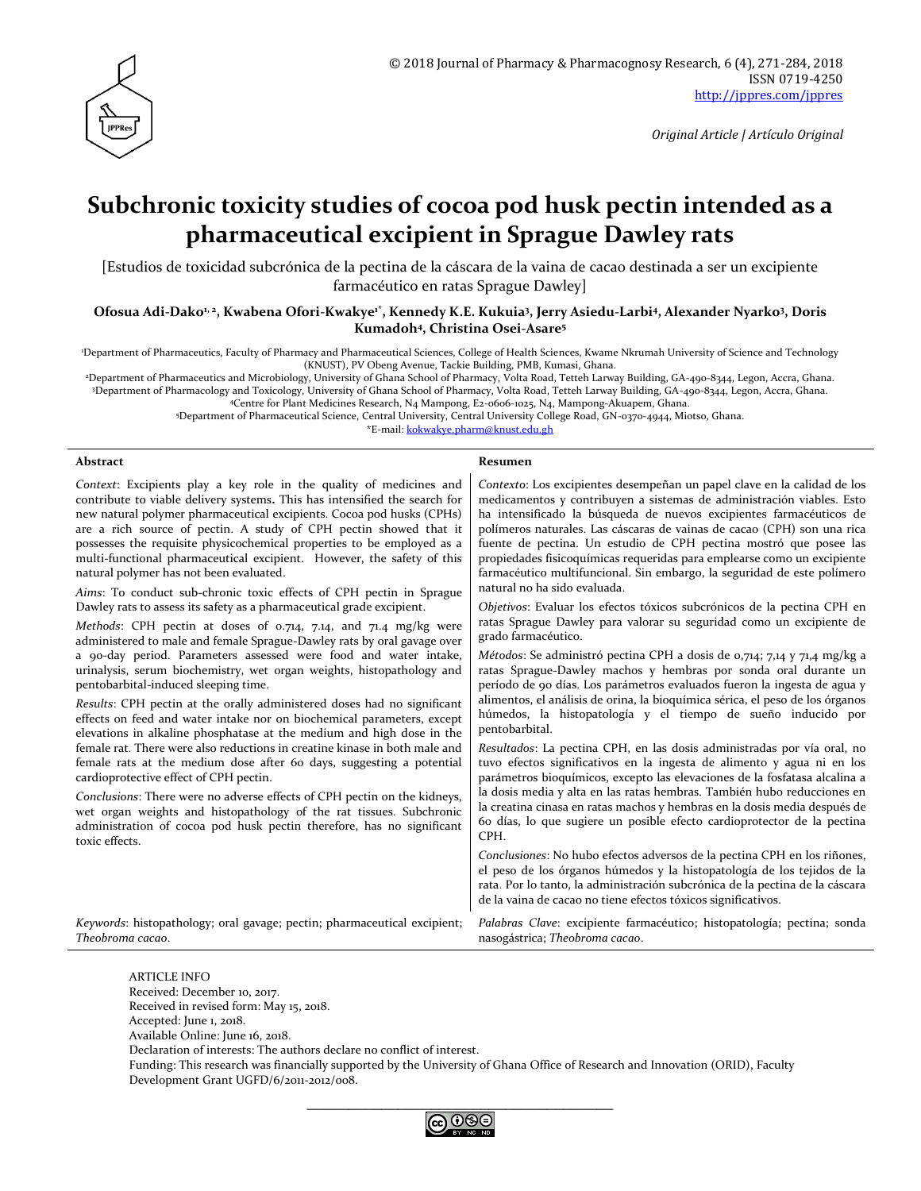

# **Subchronic toxicity studies of cocoa pod husk pectin intended as a pharmaceutical excipient in Sprague Dawley rats**

[Estudios de toxicidad subcrónica de la pectina de la cáscara de la vaina de cacao destinada a ser un excipiente farmacéutico en ratas Sprague Dawley]

**Ofosua Adi-Dako1, 2, Kwabena Ofori-Kwakye1\*, Kennedy K.E. Kukuia<sup>3</sup> , Jerry Asiedu-Larbi<sup>4</sup> , Alexander Nyarko<sup>3</sup> , Doris Kumadoh<sup>4</sup> , Christina Osei-Asare<sup>5</sup>**

<sup>1</sup>Department of Pharmaceutics, Faculty of Pharmacy and Pharmaceutical Sciences, College of Health Sciences, Kwame Nkrumah University of Science and Technology (KNUST), PV Obeng Avenue, Tackie Building, PMB, Kumasi, Ghana.

<sup>2</sup>Department of Pharmaceutics and Microbiology, University of Ghana School of Pharmacy, Volta Road, Tetteh Larway Building, GA-490-8344, Legon, Accra, Ghana. <sup>3</sup>Department of Pharmacology and Toxicology, University of Ghana School of Pharmacy, Volta Road, Tetteh Larway Building, GA-490-8344, Legon, Accra, Ghana.

<sup>4</sup>Centre for Plant Medicines Research, N4 Mampong, E2-0606-1025, N4, Mampong-Akuapem, Ghana.

<sup>5</sup>Department of Pharmaceutical Science, Central University, Central University College Road, GN-0370-4944, Miotso, Ghana.

\*E-mail: [kokwakye.pharm@knust.edu.gh](mailto:kokwakye.pharm@knust.edu.gh)

#### **Abstract Resumen**

*Context*: Excipients play a key role in the quality of medicines and contribute to viable delivery systems**.** This has intensified the search for new natural polymer pharmaceutical excipients. Cocoa pod husks (CPHs) are a rich source of pectin. A study of CPH pectin showed that it possesses the requisite physicochemical properties to be employed as a multi-functional pharmaceutical excipient. However, the safety of this natural polymer has not been evaluated.

*Aims*: To conduct sub-chronic toxic effects of CPH pectin in Sprague Dawley rats to assess its safety as a pharmaceutical grade excipient.

*Methods*: CPH pectin at doses of 0.714, 7.14, and 71.4 mg/kg were administered to male and female Sprague-Dawley rats by oral gavage over a 90-day period. Parameters assessed were food and water intake, urinalysis, serum biochemistry, wet organ weights, histopathology and pentobarbital-induced sleeping time.

*Results*: CPH pectin at the orally administered doses had no significant effects on feed and water intake nor on biochemical parameters, except elevations in alkaline phosphatase at the medium and high dose in the female rat. There were also reductions in creatine kinase in both male and female rats at the medium dose after 60 days, suggesting a potential cardioprotective effect of CPH pectin.

*Conclusions*: There were no adverse effects of CPH pectin on the kidneys, wet organ weights and histopathology of the rat tissues. Subchronic administration of cocoa pod husk pectin therefore, has no significant toxic effects.

*Contexto*: Los excipientes desempeñan un papel clave en la calidad de los medicamentos y contribuyen a sistemas de administración viables. Esto ha intensificado la búsqueda de nuevos excipientes farmacéuticos de polímeros naturales. Las cáscaras de vainas de cacao (CPH) son una rica fuente de pectina. Un estudio de CPH pectina mostró que posee las propiedades fisicoquímicas requeridas para emplearse como un excipiente farmacéutico multifuncional. Sin embargo, la seguridad de este polímero natural no ha sido evaluada.

*Objetivos*: Evaluar los efectos tóxicos subcrónicos de la pectina CPH en ratas Sprague Dawley para valorar su seguridad como un excipiente de grado farmacéutico.

*Métodos*: Se administró pectina CPH a dosis de 0,714; 7,14 y 71,4 mg/kg a ratas Sprague-Dawley machos y hembras por sonda oral durante un período de 90 días. Los parámetros evaluados fueron la ingesta de agua y alimentos, el análisis de orina, la bioquímica sérica, el peso de los órganos húmedos, la histopatología y el tiempo de sueño inducido por pentobarbital.

*Resultados*: La pectina CPH, en las dosis administradas por vía oral, no tuvo efectos significativos en la ingesta de alimento y agua ni en los parámetros bioquímicos, excepto las elevaciones de la fosfatasa alcalina a la dosis media y alta en las ratas hembras. También hubo reducciones en la creatina cinasa en ratas machos y hembras en la dosis media después de 60 días, lo que sugiere un posible efecto cardioprotector de la pectina CPH.

*Conclusiones*: No hubo efectos adversos de la pectina CPH en los riñones, el peso de los órganos húmedos y la histopatología de los tejidos de la rata. Por lo tanto, la administración subcrónica de la pectina de la cáscara de la vaina de cacao no tiene efectos tóxicos significativos.

*Palabras Clave*: excipiente farmacéutico; histopatología; pectina; sonda

*Keywords*: histopathology; oral gavage; pectin; pharmaceutical excipient; *Theobroma cacao*.

> ARTICLE INFO Received: December 10, 2017. Received in revised form: May 15, 2018. Accepted: June 1, 2018. Available Online: June 16, 2018. Declaration of interests: The authors declare no conflict of interest. Funding: This research was financially supported by the University of Ghana Office of Research and Innovation (ORID), Faculty Development Grant UGFD/6/2011-2012/008.

nasogástrica; *Theobroma cacao*.

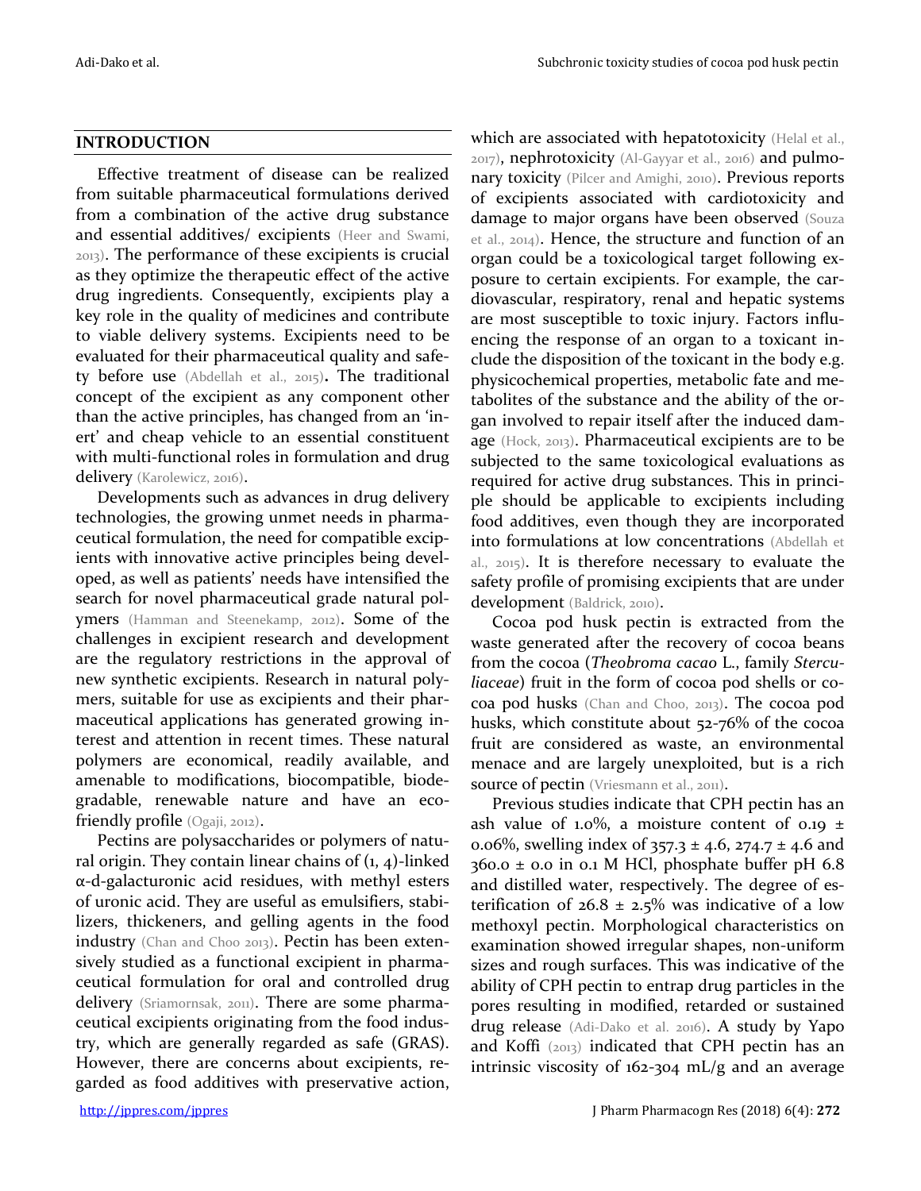#### **INTRODUCTION**

Effective treatment of disease can be realized from suitable pharmaceutical formulations derived from a combination of the active drug substance and essential additives/ excipients (Heer and Swami, 2013). The performance of these excipients is crucial as they optimize the therapeutic effect of the active drug ingredients. Consequently, excipients play a key role in the quality of medicines and contribute to viable delivery systems. Excipients need to be evaluated for their pharmaceutical quality and safety before use (Abdellah et al., 2015)**.** The traditional concept of the excipient as any component other than the active principles, has changed from an 'inert' and cheap vehicle to an essential constituent with multi-functional roles in formulation and drug delivery (Karolewicz, 2016).

Developments such as advances in drug delivery technologies, the growing unmet needs in pharmaceutical formulation, the need for compatible excipients with innovative active principles being developed, as well as patients' needs have intensified the search for novel pharmaceutical grade natural polymers (Hamman and Steenekamp, 2012). Some of the challenges in excipient research and development are the regulatory restrictions in the approval of new synthetic excipients. Research in natural polymers, suitable for use as excipients and their pharmaceutical applications has generated growing interest and attention in recent times. These natural polymers are economical, readily available, and amenable to modifications, biocompatible, biodegradable, renewable nature and have an ecofriendly profile (Ogaji, 2012).

Pectins are polysaccharides or polymers of natural origin. They contain linear chains of  $(1, 4)$ -linked α-d-galacturonic acid residues, with methyl esters of uronic acid. They are useful as emulsifiers, stabilizers, thickeners, and gelling agents in the food industry (Chan and Choo 2013). Pectin has been extensively studied as a functional excipient in pharmaceutical formulation for oral and controlled drug delivery (Sriamornsak, 2011). There are some pharmaceutical excipients originating from the food industry, which are generally regarded as safe (GRAS). However, there are concerns about excipients, regarded as food additives with preservative action,

which are associated with hepatotoxicity (Helal et al., 2017), nephrotoxicity (Al-Gayyar et al., 2016) and pulmonary toxicity (Pilcer and Amighi, 2010). Previous reports of excipients associated with cardiotoxicity and damage to major organs have been observed (Souza et al., 2014). Hence, the structure and function of an organ could be a toxicological target following exposure to certain excipients. For example, the cardiovascular, respiratory, renal and hepatic systems are most susceptible to toxic injury. Factors influencing the response of an organ to a toxicant include the disposition of the toxicant in the body e.g. physicochemical properties, metabolic fate and metabolites of the substance and the ability of the organ involved to repair itself after the induced damage (Hock, 2013). Pharmaceutical excipients are to be subjected to the same toxicological evaluations as required for active drug substances. This in principle should be applicable to excipients including food additives, even though they are incorporated into formulations at low concentrations (Abdellah et al., 2015). It is therefore necessary to evaluate the safety profile of promising excipients that are under development (Baldrick, 2010).

Cocoa pod husk pectin is extracted from the waste generated after the recovery of cocoa beans from the cocoa (*Theobroma cacao* L., family *Sterculiaceae*) fruit in the form of cocoa pod shells or cocoa pod husks (Chan and Choo, 2013). The cocoa pod husks, which constitute about 52-76% of the cocoa fruit are considered as waste, an environmental menace and are largely unexploited, but is a rich source of pectin (Vriesmann et al., 2011).

Previous studies indicate that CPH pectin has an ash value of 1.0%, a moisture content of 0.19  $\pm$ 0.06%, swelling index of  $357.3 \pm 4.6$ ,  $274.7 \pm 4.6$  and  $360.0 \pm 0.0$  in 0.1 M HCl, phosphate buffer pH 6.8 and distilled water, respectively. The degree of esterification of  $26.8 \pm 2.5\%$  was indicative of a low methoxyl pectin. Morphological characteristics on examination showed irregular shapes, non-uniform sizes and rough surfaces. This was indicative of the ability of CPH pectin to entrap drug particles in the pores resulting in modified, retarded or sustained drug release (Adi-Dako et al. 2016). A study by Yapo and Koffi (2013) indicated that CPH pectin has an intrinsic viscosity of 162-304 mL/g and an average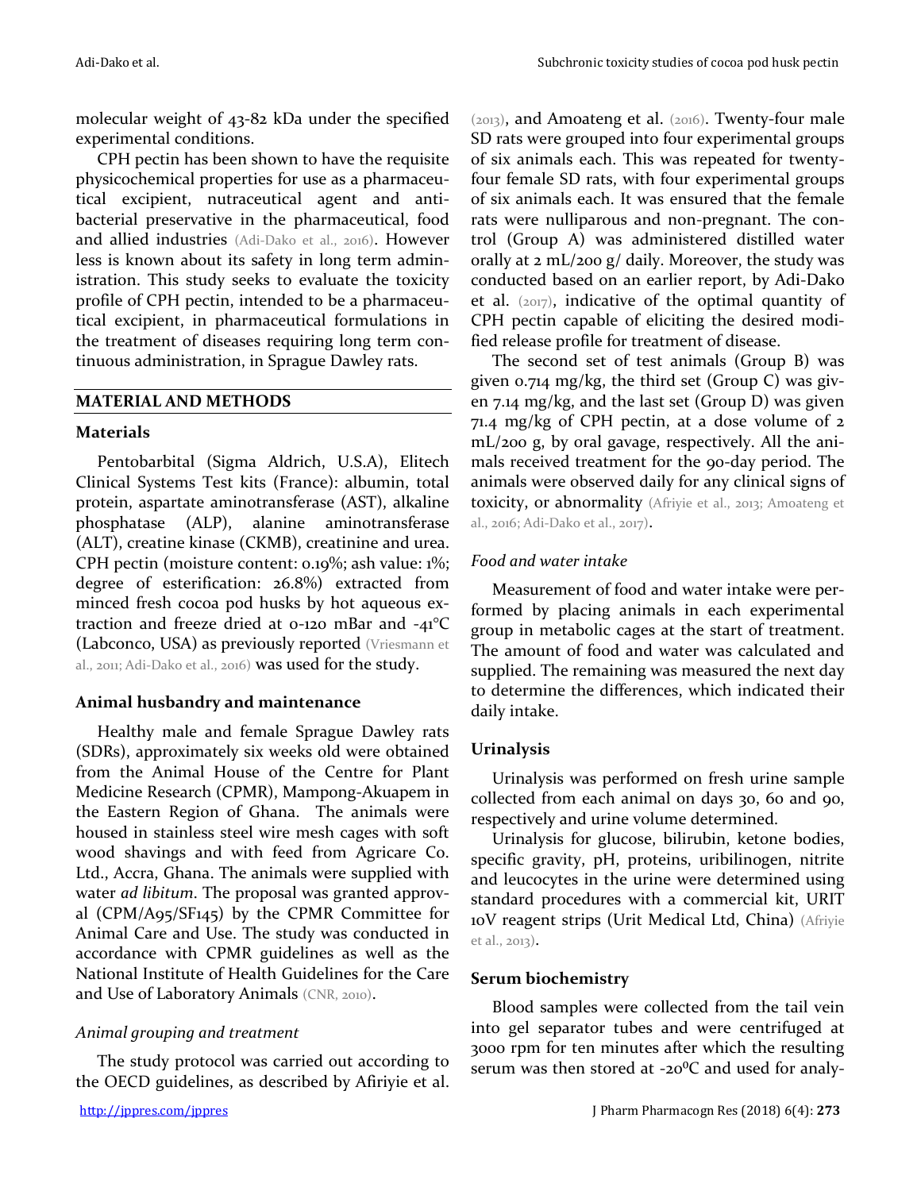molecular weight of 43-82 kDa under the specified experimental conditions.

CPH pectin has been shown to have the requisite physicochemical properties for use as a pharmaceutical excipient, nutraceutical agent and antibacterial preservative in the pharmaceutical, food and allied industries (Adi-Dako et al., 2016). However less is known about its safety in long term administration. This study seeks to evaluate the toxicity profile of CPH pectin, intended to be a pharmaceutical excipient, in pharmaceutical formulations in the treatment of diseases requiring long term continuous administration, in Sprague Dawley rats.

## **MATERIAL AND METHODS**

## **Materials**

Pentobarbital (Sigma Aldrich, U.S.A), Elitech Clinical Systems Test kits (France): albumin, total protein, aspartate aminotransferase (AST), alkaline phosphatase (ALP), alanine aminotransferase (ALT), creatine kinase (CKMB), creatinine and urea. CPH pectin (moisture content: 0.19%; ash value: 1%; degree of esterification: 26.8%) extracted from minced fresh cocoa pod husks by hot aqueous extraction and freeze dried at 0-120 mBar and -41°C (Labconco, USA) as previously reported (Vriesmann et al., 2011; Adi-Dako et al., 2016) was used for the study.

# **Animal husbandry and maintenance**

Healthy male and female Sprague Dawley rats (SDRs), approximately six weeks old were obtained from the Animal House of the Centre for Plant Medicine Research (CPMR), Mampong-Akuapem in the Eastern Region of Ghana. The animals were housed in stainless steel wire mesh cages with soft wood shavings and with feed from Agricare Co. Ltd., Accra, Ghana. The animals were supplied with water *ad libitum*. The proposal was granted approval (CPM/A95/SF145) by the CPMR Committee for Animal Care and Use. The study was conducted in accordance with CPMR guidelines as well as the National Institute of Health Guidelines for the Care and Use of Laboratory Animals (CNR, 2010).

# *Animal grouping and treatment*

The study protocol was carried out according to the OECD guidelines, as described by Afiriyie et al. (2013), and Amoateng et al. (2016). Twenty-four male SD rats were grouped into four experimental groups of six animals each. This was repeated for twentyfour female SD rats, with four experimental groups of six animals each. It was ensured that the female rats were nulliparous and non-pregnant. The control (Group A) was administered distilled water orally at 2 mL/200 g/ daily. Moreover, the study was conducted based on an earlier report, by Adi-Dako et al. (2017), indicative of the optimal quantity of CPH pectin capable of eliciting the desired modified release profile for treatment of disease.

The second set of test animals (Group B) was given 0.714 mg/kg, the third set (Group C) was given 7.14 mg/kg, and the last set (Group D) was given 71.4 mg/kg of CPH pectin, at a dose volume of 2 mL/200 g, by oral gavage, respectively. All the animals received treatment for the 90-day period. The animals were observed daily for any clinical signs of toxicity, or abnormality (Afriyie et al., 2013; Amoateng et al., 2016; Adi-Dako et al., 2017).

# *Food and water intake*

Measurement of food and water intake were performed by placing animals in each experimental group in metabolic cages at the start of treatment. The amount of food and water was calculated and supplied. The remaining was measured the next day to determine the differences, which indicated their daily intake.

# **Urinalysis**

Urinalysis was performed on fresh urine sample collected from each animal on days 30, 60 and 90, respectively and urine volume determined.

Urinalysis for glucose, bilirubin, ketone bodies, specific gravity, pH, proteins, uribilinogen, nitrite and leucocytes in the urine were determined using standard procedures with a commercial kit, URIT 10V reagent strips (Urit Medical Ltd, China) (Afriyie et al., 2013).

# **Serum biochemistry**

Blood samples were collected from the tail vein into gel separator tubes and were centrifuged at 3000 rpm for ten minutes after which the resulting serum was then stored at -20 $\rm ^{0}C$  and used for analy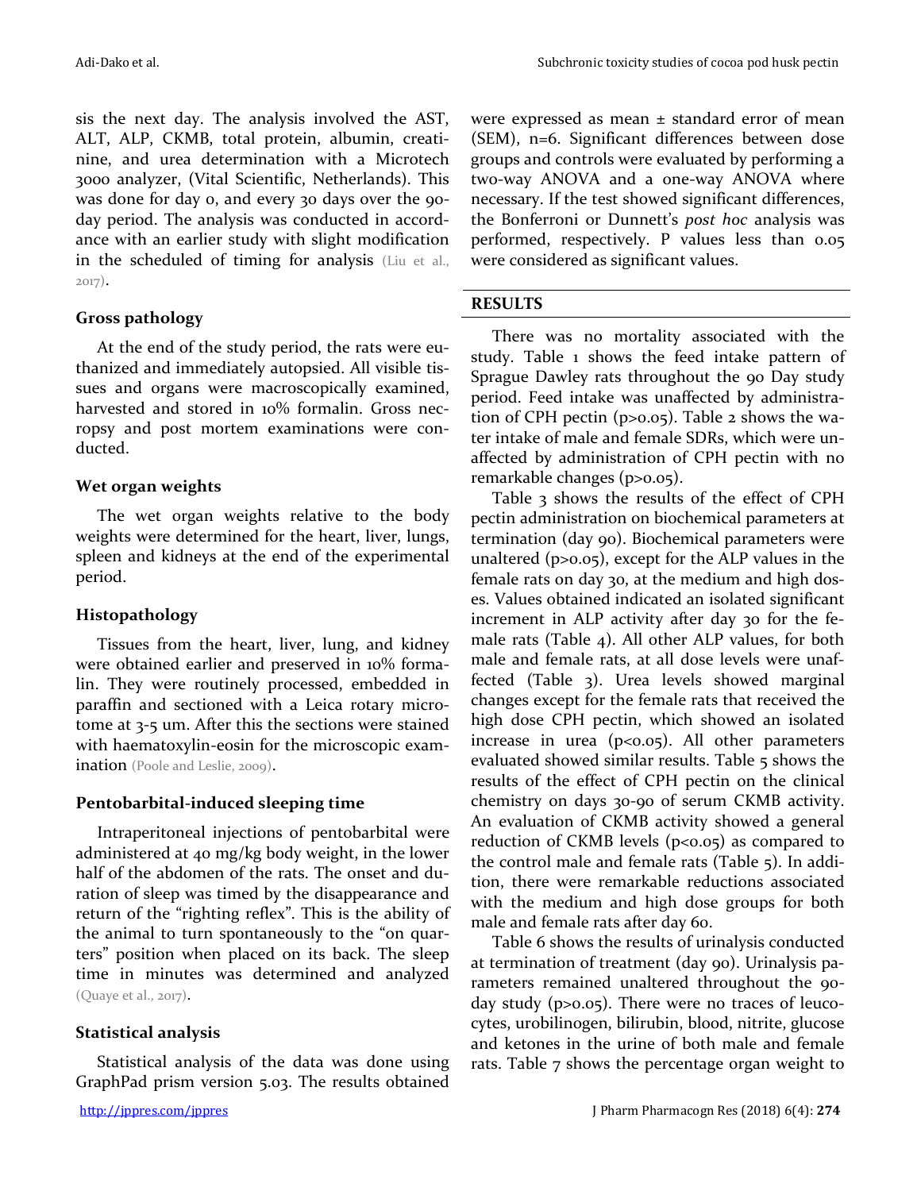sis the next day. The analysis involved the AST, ALT, ALP, CKMB, total protein, albumin, creatinine, and urea determination with a Microtech 3000 analyzer, (Vital Scientific, Netherlands). This

was done for day 0, and every 30 days over the 90 day period. The analysis was conducted in accordance with an earlier study with slight modification in the scheduled of timing for analysis (Liu et al., 2017).

## **Gross pathology**

At the end of the study period, the rats were euthanized and immediately autopsied. All visible tissues and organs were macroscopically examined, harvested and stored in 10% formalin. Gross necropsy and post mortem examinations were conducted.

## **Wet organ weights**

The wet organ weights relative to the body weights were determined for the heart, liver, lungs, spleen and kidneys at the end of the experimental period.

#### **Histopathology**

Tissues from the heart, liver, lung, and kidney were obtained earlier and preserved in 10% formalin. They were routinely processed, embedded in paraffin and sectioned with a Leica rotary microtome at 3-5 um. After this the sections were stained with haematoxylin-eosin for the microscopic examination (Poole and Leslie, 2009).

#### **Pentobarbital-induced sleeping time**

Intraperitoneal injections of pentobarbital were administered at 40 mg/kg body weight, in the lower half of the abdomen of the rats. The onset and duration of sleep was timed by the disappearance and return of the "righting reflex". This is the ability of the animal to turn spontaneously to the "on quarters" position when placed on its back. The sleep time in minutes was determined and analyzed (Quaye et al., 2017).

## **Statistical analysis**

Statistical analysis of the data was done using GraphPad prism version 5.03. The results obtained were expressed as mean  $\pm$  standard error of mean (SEM), n=6. Significant differences between dose groups and controls were evaluated by performing a two-way ANOVA and a one-way ANOVA where necessary. If the test showed significant differences, the Bonferroni or Dunnett's *post hoc* analysis was performed, respectively. P values less than 0.05 were considered as significant values.

## **RESULTS**

There was no mortality associated with the study. Table 1 shows the feed intake pattern of Sprague Dawley rats throughout the 90 Day study period. Feed intake was unaffected by administration of CPH pectin (p>0.05). Table 2 shows the water intake of male and female SDRs, which were unaffected by administration of CPH pectin with no remarkable changes (p>0.05).

Table 3 shows the results of the effect of CPH pectin administration on biochemical parameters at termination (day 90). Biochemical parameters were unaltered (p>0.05), except for the ALP values in the female rats on day 30, at the medium and high doses. Values obtained indicated an isolated significant increment in ALP activity after day 30 for the female rats (Table 4). All other ALP values, for both male and female rats, at all dose levels were unaffected (Table 3). Urea levels showed marginal changes except for the female rats that received the high dose CPH pectin, which showed an isolated increase in urea  $(p<0.05)$ . All other parameters evaluated showed similar results. Table 5 shows the results of the effect of CPH pectin on the clinical chemistry on days 30-90 of serum CKMB activity. An evaluation of CKMB activity showed a general reduction of CKMB levels ( $p<0.05$ ) as compared to the control male and female rats (Table 5). In addition, there were remarkable reductions associated with the medium and high dose groups for both male and female rats after day 60.

Table 6 shows the results of urinalysis conducted at termination of treatment (day 90). Urinalysis parameters remained unaltered throughout the 90day study (p>0.05). There were no traces of leucocytes, urobilinogen, bilirubin, blood, nitrite, glucose and ketones in the urine of both male and female rats. Table 7 shows the percentage organ weight to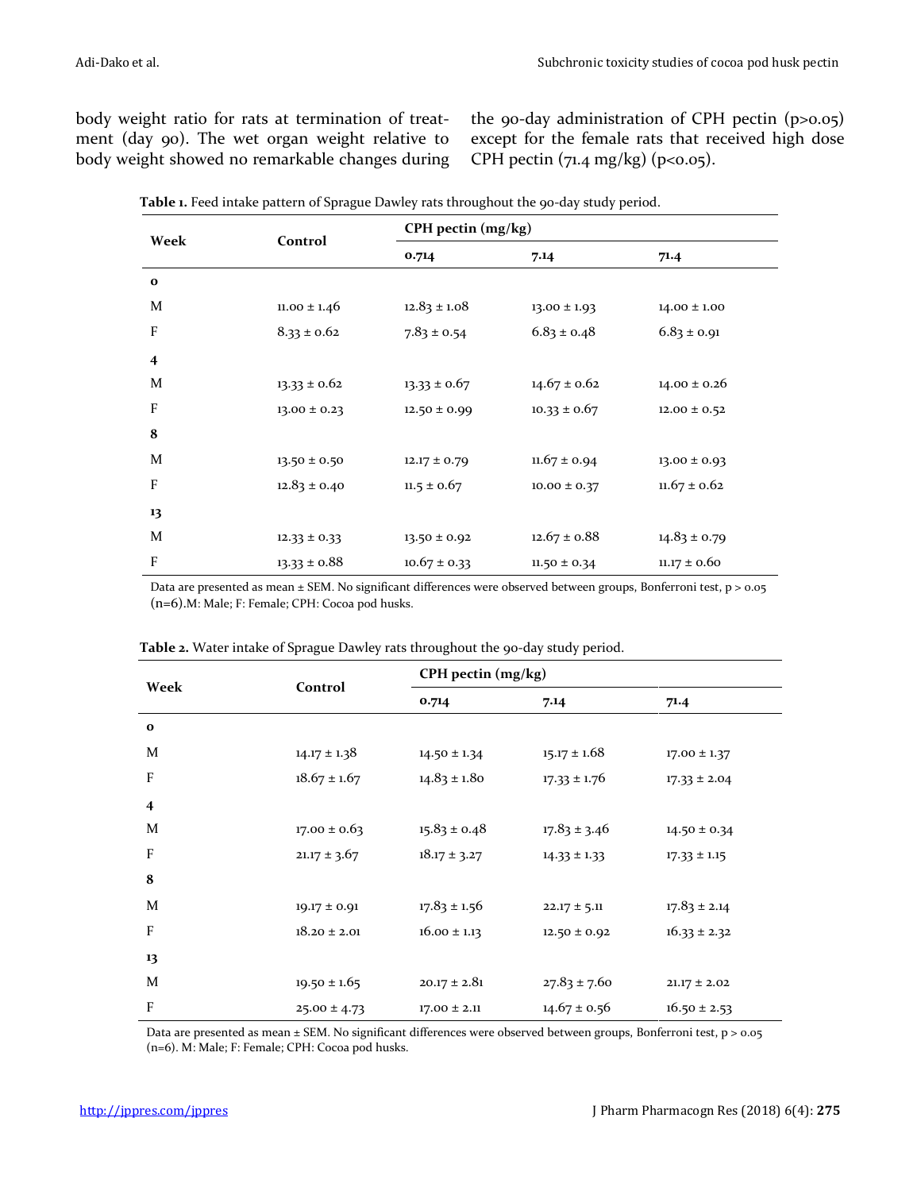body weight ratio for rats at termination of treatment (day 90). The wet organ weight relative to body weight showed no remarkable changes during the 90-day administration of CPH pectin (p>0.05) except for the female rats that received high dose CPH pectin  $(71.4 \text{ mg/kg})$   $(p<0.05)$ .

| Week                    | Control          | CPH pectin (mg/kg) |                  |                  |  |  |
|-------------------------|------------------|--------------------|------------------|------------------|--|--|
|                         |                  | 0.714              | 7.14             | 71.4             |  |  |
| $\mathbf{o}$            |                  |                    |                  |                  |  |  |
| M                       | $11.00 \pm 1.46$ | $12.83 \pm 1.08$   | $13.00 \pm 1.93$ | $14.00 \pm 1.00$ |  |  |
| F                       | $8.33 \pm 0.62$  | $7.83 \pm 0.54$    | $6.83 \pm 0.48$  | $6.83 \pm 0.91$  |  |  |
| $\overline{\mathbf{4}}$ |                  |                    |                  |                  |  |  |
| M                       | $13.33 \pm 0.62$ | $13.33 \pm 0.67$   | $14.67 \pm 0.62$ | $14.00 \pm 0.26$ |  |  |
| F                       | $13.00 \pm 0.23$ | $12.50 \pm 0.99$   | $10.33 \pm 0.67$ | $12.00 \pm 0.52$ |  |  |
| 8                       |                  |                    |                  |                  |  |  |
| M                       | $13.50 \pm 0.50$ | $12.17 \pm 0.79$   | $11.67 \pm 0.94$ | $13.00 \pm 0.93$ |  |  |
| F                       | $12.83 \pm 0.40$ | $11.5 \pm 0.67$    | $10.00 \pm 0.37$ | $11.67 \pm 0.62$ |  |  |
| 13                      |                  |                    |                  |                  |  |  |
| M                       | $12.33 \pm 0.33$ | $13.50 \pm 0.92$   | $12.67 \pm 0.88$ | $14.83 \pm 0.79$ |  |  |
| F                       | $13.33 \pm 0.88$ | $10.67 \pm 0.33$   | $11.50 \pm 0.34$ | $11.17 \pm 0.60$ |  |  |

Table 1. Feed intake pattern of Sprague Dawley rats throughout the 90-day study period.

Data are presented as mean ± SEM. No significant differences were observed between groups, Bonferroni test, p > 0.05 (n=6).M: Male; F: Female; CPH: Cocoa pod husks.

| Week                      | Control          | CPH pectin (mg/kg) |                  |                  |  |
|---------------------------|------------------|--------------------|------------------|------------------|--|
|                           |                  | 0.714              | 7.14             | 71.4             |  |
| $\mathbf{o}$              |                  |                    |                  |                  |  |
| M                         | $14.17 \pm 1.38$ | $14.50 \pm 1.34$   | $15.17 \pm 1.68$ | $17.00 \pm 1.37$ |  |
| $\boldsymbol{\mathrm{F}}$ | $18.67 \pm 1.67$ | $14.83 \pm 1.80$   | $17.33 \pm 1.76$ | $17.33 \pm 2.04$ |  |
| $\overline{\mathbf{4}}$   |                  |                    |                  |                  |  |
| M                         | $17.00 \pm 0.63$ | $15.83 \pm 0.48$   | $17.83 \pm 3.46$ | $14.50 \pm 0.34$ |  |
| $\overline{F}$            | $21.17 \pm 3.67$ | $18.17 \pm 3.27$   | $14.33 \pm 1.33$ | $17.33 \pm 1.15$ |  |
| 8                         |                  |                    |                  |                  |  |
| M                         | $19.17 \pm 0.91$ | $17.83 \pm 1.56$   | $22.17 \pm 5.11$ | $17.83 \pm 2.14$ |  |
| $\overline{F}$            | $18.20 \pm 2.01$ | $16.00 \pm 1.13$   | $12.50 \pm 0.92$ | $16.33 \pm 2.32$ |  |
| 13                        |                  |                    |                  |                  |  |
| M                         | $19.50 \pm 1.65$ | $20.17 \pm 2.81$   | $27.83 \pm 7.60$ | $21.17 \pm 2.02$ |  |
| $\rm F$                   | $25.00 \pm 4.73$ | $17.00 \pm 2.11$   | $14.67 \pm 0.56$ | $16.50 \pm 2.53$ |  |

**Table 2.** Water intake of Sprague Dawley rats throughout the 90-day study period.

Data are presented as mean ± SEM. No significant differences were observed between groups, Bonferroni test, p > 0.05 (n=6). M: Male; F: Female; CPH: Cocoa pod husks.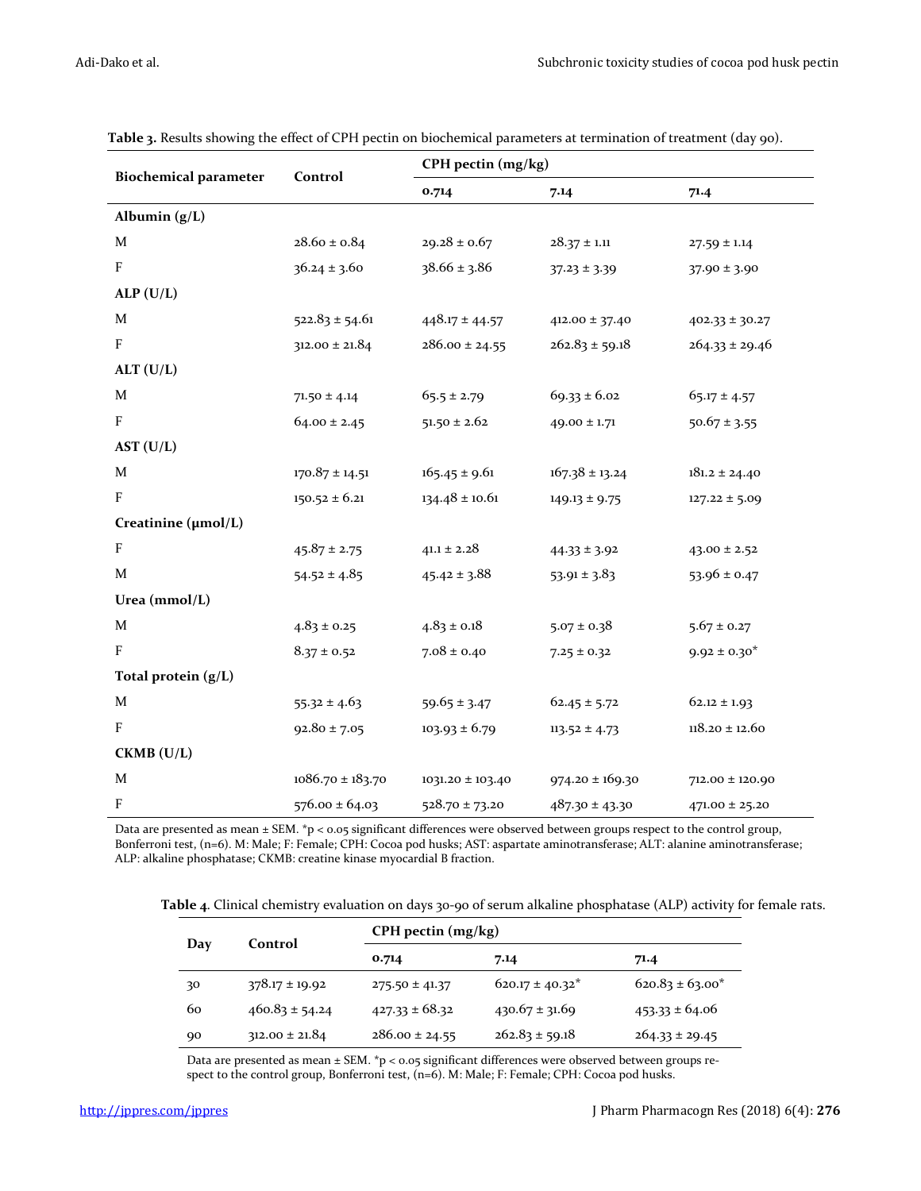|                              | Control              | CPH pectin (mg/kg)                     |                     |                    |  |
|------------------------------|----------------------|----------------------------------------|---------------------|--------------------|--|
| <b>Biochemical parameter</b> |                      | 0.714                                  | 7.14                | 71.4               |  |
| Albumin (g/L)                |                      |                                        |                     |                    |  |
| M                            | $28.60 \pm 0.84$     | $29.28 \pm 0.67$                       | $28.37 \pm 1.11$    | $27.59 \pm 1.14$   |  |
| $\mathbf{F}$                 | $36.24 \pm 3.60$     | $38.66 \pm 3.86$                       | $37.23 \pm 3.39$    | $37.90 \pm 3.90$   |  |
| ALP(U/L)                     |                      |                                        |                     |                    |  |
| M                            | $522.83 \pm 54.61$   | $448.17 \pm 44.57$                     | $412.00 \pm 37.40$  | $402.33 \pm 30.27$ |  |
| F                            | $312.00 \pm 21.84$   | $286.00 \pm 24.55$                     | $262.83 \pm 59.18$  | $264.33 \pm 29.46$ |  |
| ALT (U/L)                    |                      |                                        |                     |                    |  |
| M                            | $71.50 \pm 4.14$     | $65.5 \pm 2.79$                        | $69.33 \pm 6.02$    | $65.17 \pm 4.57$   |  |
| $\boldsymbol{\mathrm{F}}$    | $64.00 \pm 2.45$     | $51.50 \pm 2.62$                       | $49.00 \pm 1.71$    | $50.67 \pm 3.55$   |  |
| AST (U/L)                    |                      |                                        |                     |                    |  |
| $\mathbf M$                  | $170.87 \pm 14.51$   | $165.45 \pm 9.61$                      | $167.38 \pm 13.24$  | $181.2 \pm 24.40$  |  |
| $\boldsymbol{\mathrm{F}}$    | $150.52 \pm 6.21$    | $134.48 \pm 10.61$                     | $149.13 \pm 9.75$   | $127.22 \pm 5.09$  |  |
| Creatinine (µmol/L)          |                      |                                        |                     |                    |  |
| F                            | $45.87 \pm 2.75$     | $41.1 \pm 2.28$                        | $44.33 \pm 3.92$    | $43.00 \pm 2.52$   |  |
| $\mathbf M$                  | $54.52 \pm 4.85$     | $45.42 \pm 3.88$                       | $53.91 \pm 3.83$    | $53.96 \pm 0.47$   |  |
| Urea $(mmol/L)$              |                      |                                        |                     |                    |  |
| $\mathbf M$                  | $4.83 \pm 0.25$      | $4.83 \pm 0.18$                        | $5.07 \pm 0.38$     | $5.67 \pm 0.27$    |  |
| F                            | $8.37 \pm 0.52$      | $7.08 \pm 0.40$                        | $7.25 \pm 0.32$     | $9.92 \pm 0.30^*$  |  |
| Total protein (g/L)          |                      |                                        |                     |                    |  |
| M                            | $55.32 \pm 4.63$     | $59.65 \pm 3.47$                       | $62.45 \pm 5.72$    | $62.12 \pm 1.93$   |  |
| $\boldsymbol{\mathrm{F}}$    | $92.80 \pm 7.05$     | $103.93 \pm 6.79$<br>$113.52 \pm 4.73$ |                     | $118.20\pm12.60$   |  |
| $CKMB$ (U/L)                 |                      |                                        |                     |                    |  |
| $\mathbf M$                  | $1086.70 \pm 183.70$ | $1031.20 \pm 103.40$                   | $974.20 \pm 169.30$ | 712.00 ± 120.90    |  |
| F                            | $576.00 \pm 64.03$   | $528.70 \pm 73.20$                     | $487.30 \pm 43.30$  | $471.00 \pm 25.20$ |  |

**Table 3.** Results showing the effect of CPH pectin on biochemical parameters at termination of treatment (day 90).

Data are presented as mean ± SEM. \*p < 0.05 significant differences were observed between groups respect to the control group, Bonferroni test, (n=6). M: Male; F: Female; CPH: Cocoa pod husks; AST: aspartate aminotransferase; ALT: alanine aminotransferase; ALP: alkaline phosphatase; CKMB: creatine kinase myocardial B fraction.

**Table 4**. Clinical chemistry evaluation on days 30-90 of serum alkaline phosphatase (ALP) activity for female rats.

| Day | Control            | $CPH$ pectin $(mg/kg)$ |                      |                      |  |  |
|-----|--------------------|------------------------|----------------------|----------------------|--|--|
|     |                    | 0.714                  | 7.14                 | 71.4                 |  |  |
| 30  | $378.17 \pm 19.92$ | $275.50 \pm 41.37$     | $620.17 \pm 40.32^*$ | $620.83 \pm 63.00^*$ |  |  |
| 60  | $460.83 \pm 54.24$ | $427.33 \pm 68.32$     | $430.67 \pm 31.69$   | $453.33 \pm 64.06$   |  |  |
| 90  | $312.00 \pm 21.84$ | $286.00 \pm 24.55$     | $262.83 \pm 59.18$   | $264.33 \pm 29.45$   |  |  |

Data are presented as mean ± SEM. \*p < 0.05 significant differences were observed between groups respect to the control group, Bonferroni test, (n=6). M: Male; F: Female; CPH: Cocoa pod husks.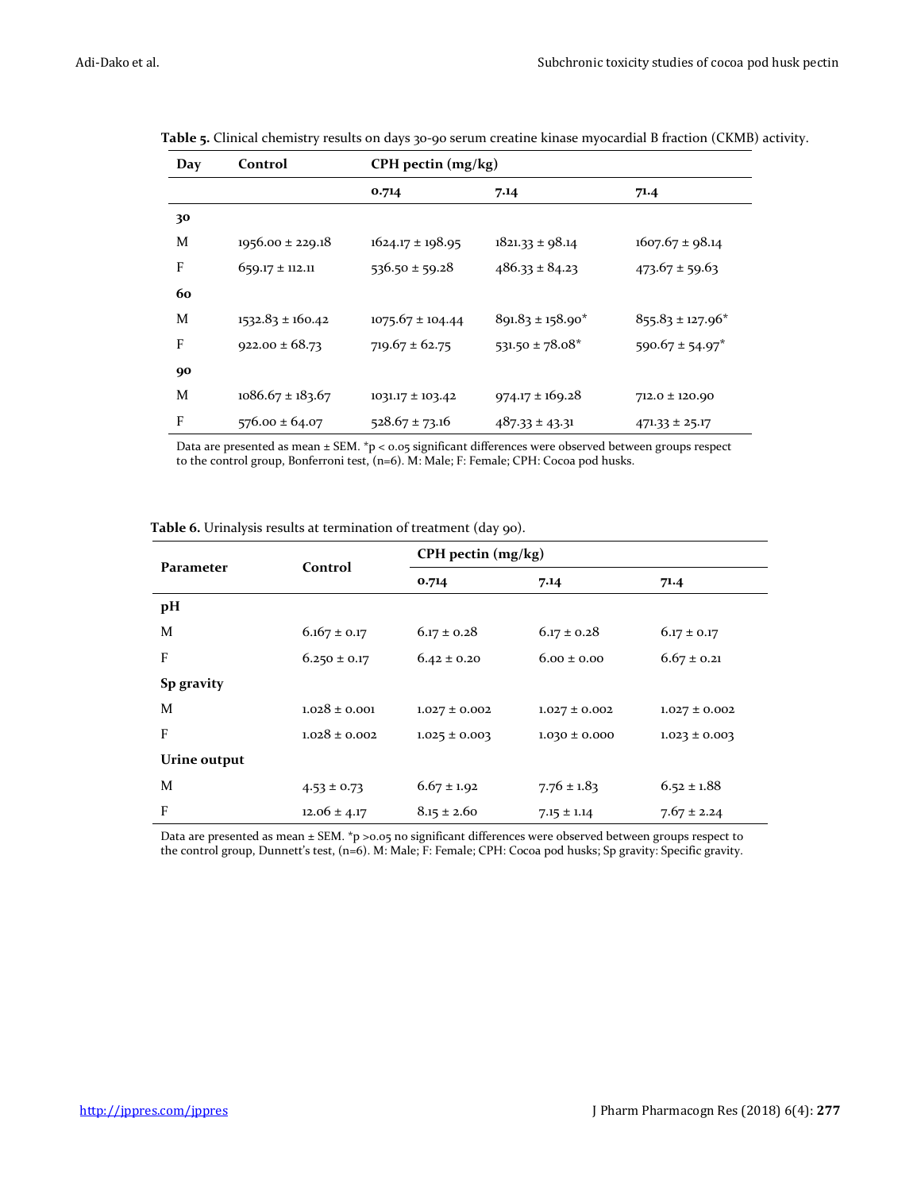| Day | Control              | CPH pectin (mg/kg)   |                       |                                 |  |  |
|-----|----------------------|----------------------|-----------------------|---------------------------------|--|--|
|     |                      | 0.714                | 7.14                  | 71.4                            |  |  |
| 30  |                      |                      |                       |                                 |  |  |
| M   | $1956.00 \pm 229.18$ | $1624.17 \pm 198.95$ | $1821.33 \pm 98.14$   | $1607.67 \pm 98.14$             |  |  |
| F   | $659.17 \pm 112.11$  | $536.50 \pm 59.28$   | $486.33 \pm 84.23$    | $473.67 \pm 59.63$              |  |  |
| 60  |                      |                      |                       |                                 |  |  |
| M   | $1532.83 \pm 160.42$ | $1075.67 \pm 104.44$ | $891.83 \pm 158.90^*$ | $855.83 \pm 127.96^*$           |  |  |
| F   | $922.00 \pm 68.73$   | $719.67 \pm 62.75$   | $531.50 \pm 78.08^*$  | $590.67 \pm 54.97$ <sup>*</sup> |  |  |
| 90  |                      |                      |                       |                                 |  |  |
| M   | $1086.67 \pm 183.67$ | $1031.17 \pm 103.42$ | $974.17 \pm 169.28$   | $712.0 \pm 120.90$              |  |  |
| F   | $576.00 \pm 64.07$   | $528.67 \pm 73.16$   | $487.33 \pm 43.31$    | $471.33 \pm 25.17$              |  |  |

**Table 5.** Clinical chemistry results on days 30-90 serum creatine kinase myocardial B fraction (CKMB) activity.

Data are presented as mean ± SEM. \*p < 0.05 significant differences were observed between groups respect to the control group, Bonferroni test, (n=6). M: Male; F: Female; CPH: Cocoa pod husks.

| Parameter    | Control           | CPH pectin (mg/kg) |                   |                   |  |  |
|--------------|-------------------|--------------------|-------------------|-------------------|--|--|
|              |                   | 0.714              | 7.14              | 71.4              |  |  |
| pH           |                   |                    |                   |                   |  |  |
| M            | $6.167 \pm 0.17$  | $6.17 \pm 0.28$    | $6.17 \pm 0.28$   | $6.17 \pm 0.17$   |  |  |
| F            | $6.250 \pm 0.17$  | $6.42 \pm 0.20$    | $6.00 \pm 0.00$   | $6.67 \pm 0.21$   |  |  |
| Sp gravity   |                   |                    |                   |                   |  |  |
| M            | $1.028 \pm 0.001$ | $1.027 \pm 0.002$  | $1.027 \pm 0.002$ | $1.027 \pm 0.002$ |  |  |
| F            | $1.028 \pm 0.002$ | $1.025 \pm 0.003$  | $1.030 \pm 0.000$ | $1.023 \pm 0.003$ |  |  |
| Urine output |                   |                    |                   |                   |  |  |
| M            | $4.53 \pm 0.73$   | $6.67 \pm 1.92$    | $7.76 \pm 1.83$   | $6.52 \pm 1.88$   |  |  |
| F            | $12.06 \pm 4.17$  | $8.15 \pm 2.60$    | $7.15 \pm 1.14$   | $7.67 \pm 2.24$   |  |  |

**Table 6.** Urinalysis results at termination of treatment (day 90).

Data are presented as mean ± SEM. \*p >0.05 no significant differences were observed between groups respect to the control group, Dunnett's test, (n=6). M: Male; F: Female; CPH: Cocoa pod husks; Sp gravity: Specific gravity.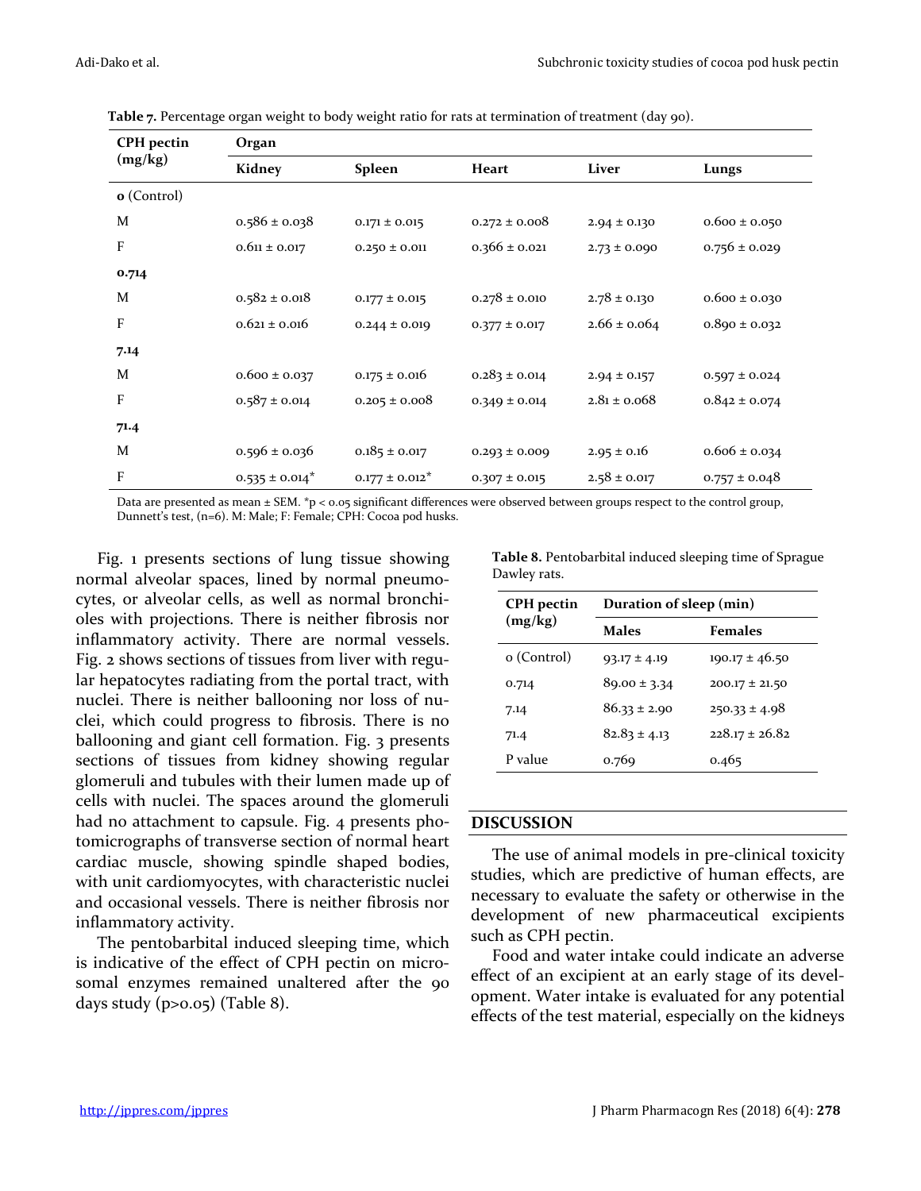| <b>CPH</b> pectin<br>(mg/kg) | Organ               |                     |                   |                  |                   |  |  |
|------------------------------|---------------------|---------------------|-------------------|------------------|-------------------|--|--|
|                              | Kidney              | Spleen              | Heart             | Liver            | Lungs             |  |  |
| o (Control)                  |                     |                     |                   |                  |                   |  |  |
| M                            | $0.586 \pm 0.038$   | $0.171 \pm 0.015$   | $0.272 \pm 0.008$ | $2.94 \pm 0.130$ | $0.600 \pm 0.050$ |  |  |
| F                            | $0.611 \pm 0.017$   | $0.250 \pm 0.011$   | $0.366 \pm 0.021$ | $2.73 \pm 0.090$ | $0.756 \pm 0.029$ |  |  |
| 0.714                        |                     |                     |                   |                  |                   |  |  |
| M                            | $0.582 \pm 0.018$   | $0.177 \pm 0.015$   | $0.278 \pm 0.010$ | $2.78 \pm 0.130$ | $0.600 \pm 0.030$ |  |  |
| F                            | $0.621 \pm 0.016$   | $0.244 \pm 0.019$   | $0.377 \pm 0.017$ | $2.66 \pm 0.064$ | $0.890 \pm 0.032$ |  |  |
| 7.14                         |                     |                     |                   |                  |                   |  |  |
| M                            | $0.600 \pm 0.037$   | $0.175 \pm 0.016$   | $0.283 \pm 0.014$ | $2.94 \pm 0.157$ | $0.597 \pm 0.024$ |  |  |
| F                            | $0.587 \pm 0.014$   | $0.205 \pm 0.008$   | $0.349 \pm 0.014$ | $2.81 \pm 0.068$ | $0.842 \pm 0.074$ |  |  |
| 71.4                         |                     |                     |                   |                  |                   |  |  |
| M                            | $0.596 \pm 0.036$   | $0.185 \pm 0.017$   | $0.293 \pm 0.009$ | $2.95 \pm 0.16$  | $0.606 \pm 0.034$ |  |  |
| F                            | $0.535 \pm 0.014^*$ | $0.177 \pm 0.012^*$ | $0.307 \pm 0.015$ | $2.58 \pm 0.017$ | $0.757 \pm 0.048$ |  |  |

**Table 7.** Percentage organ weight to body weight ratio for rats at termination of treatment (day 90).

Data are presented as mean ± SEM. \*p < 0.05 significant differences were observed between groups respect to the control group, Dunnett's test, (n=6). M: Male; F: Female; CPH: Cocoa pod husks.

Fig. 1 presents sections of lung tissue showing normal alveolar spaces, lined by normal pneumocytes, or alveolar cells, as well as normal bronchioles with projections. There is neither fibrosis nor inflammatory activity. There are normal vessels. Fig. 2 shows sections of tissues from liver with regular hepatocytes radiating from the portal tract, with nuclei. There is neither ballooning nor loss of nuclei, which could progress to fibrosis. There is no ballooning and giant cell formation. Fig. 3 presents sections of tissues from kidney showing regular glomeruli and tubules with their lumen made up of cells with nuclei. The spaces around the glomeruli had no attachment to capsule. Fig. 4 presents photomicrographs of transverse section of normal heart cardiac muscle, showing spindle shaped bodies, with unit cardiomyocytes, with characteristic nuclei and occasional vessels. There is neither fibrosis nor inflammatory activity.

The pentobarbital induced sleeping time, which is indicative of the effect of CPH pectin on microsomal enzymes remained unaltered after the 90 days study  $(p>0.05)$  (Table 8).

| Table 8. Pentobarbital induced sleeping time of Sprague |
|---------------------------------------------------------|
| Dawley rats.                                            |

| <b>CPH</b> pectin | Duration of sleep (min) |                    |  |  |
|-------------------|-------------------------|--------------------|--|--|
| (mg/kg)           | <b>Males</b>            | Females            |  |  |
| o (Control)       | $93.17 \pm 4.19$        | $190.17 \pm 46.50$ |  |  |
| 0.714             | $89.00 \pm 3.34$        | $200.17 \pm 21.50$ |  |  |
| 7.14              | $86.33 \pm 2.90$        | $250.33 \pm 4.98$  |  |  |
| 71.4              | $82.83 \pm 4.13$        | $228.17 \pm 26.82$ |  |  |
| P value           | 0.769                   | 0.465              |  |  |

#### **DISCUSSION**

The use of animal models in pre-clinical toxicity studies, which are predictive of human effects, are necessary to evaluate the safety or otherwise in the development of new pharmaceutical excipients such as CPH pectin.

Food and water intake could indicate an adverse effect of an excipient at an early stage of its development. Water intake is evaluated for any potential effects of the test material, especially on the kidneys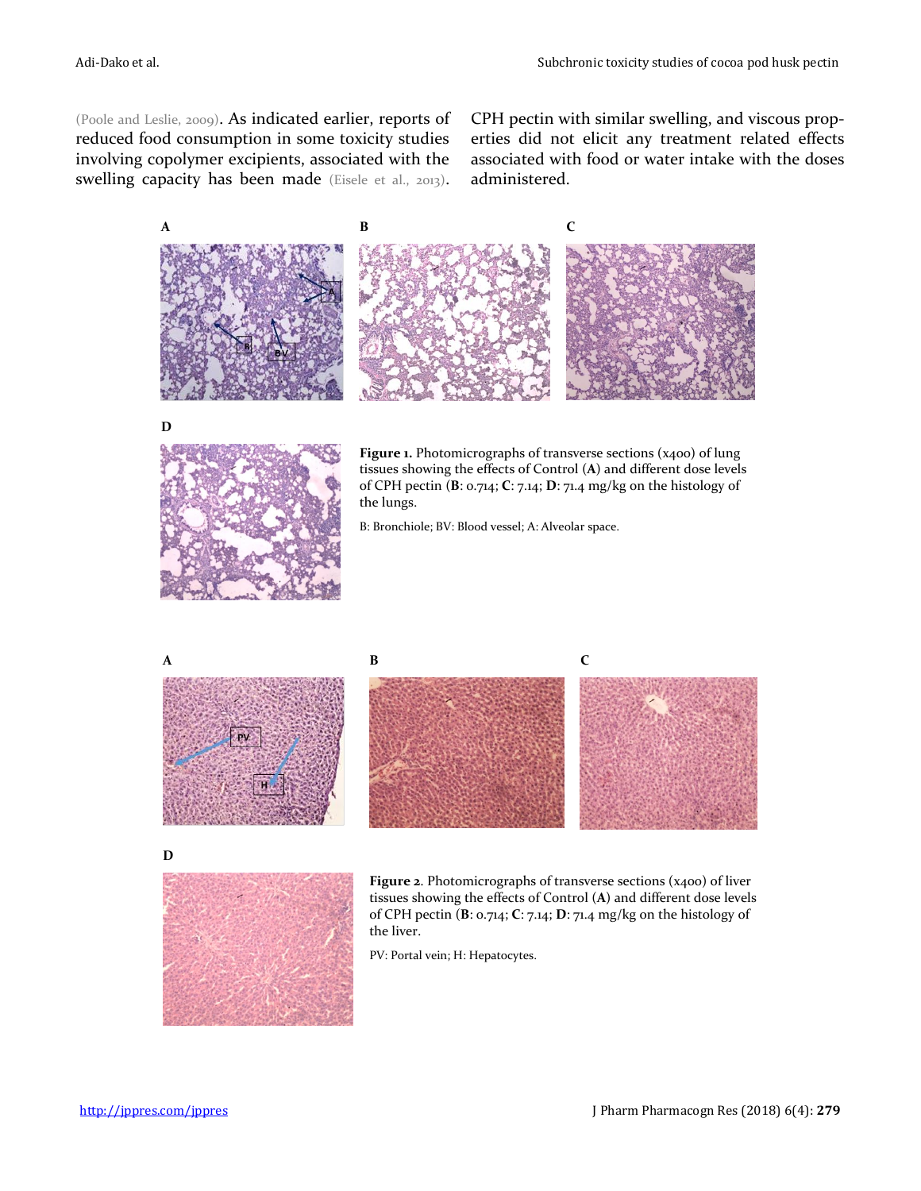(Poole and Leslie, 2009). As indicated earlier, reports of reduced food consumption in some toxicity studies involving copolymer excipients, associated with the swelling capacity has been made (Eisele et al., 2013). CPH pectin with similar swelling, and viscous properties did not elicit any treatment related effects associated with food or water intake with the doses administered.



**D**



Figure 1. Photomicrographs of transverse sections (x400) of lung tissues showing the effects of Control (**A**) and different dose levels of CPH pectin (**B**: 0.714; **C**: 7.14; **D**: 71.4 mg/kg on the histology of the lungs.

B: Bronchiole; BV: Blood vessel; A: Alveolar space.





**D**



Figure 2. Photomicrographs of transverse sections (x400) of liver tissues showing the effects of Control (**A**) and different dose levels of CPH pectin (**B**: 0.714; **C**: 7.14; **D**: 71.4 mg/kg on the histology of the liver.

PV: Portal vein; H: Hepatocytes.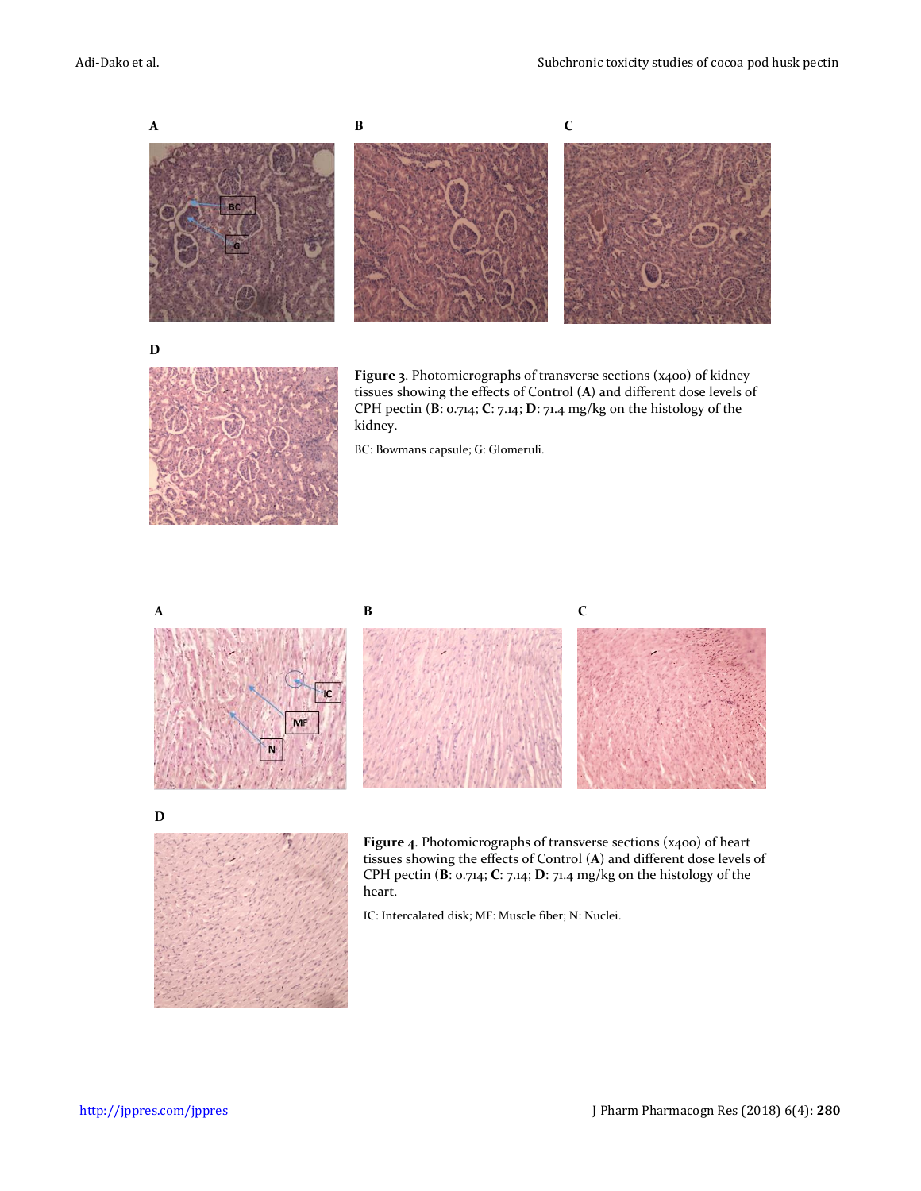

BC: Bowmans capsule; G: Glomeruli.



**D**



Figure 4. Photomicrographs of transverse sections (x400) of heart tissues showing the effects of Control (**A**) and different dose levels of CPH pectin (**B**: 0.714; **C**: 7.14; **D**: 71.4 mg/kg on the histology of the heart.

IC: Intercalated disk; MF: Muscle fiber; N: Nuclei.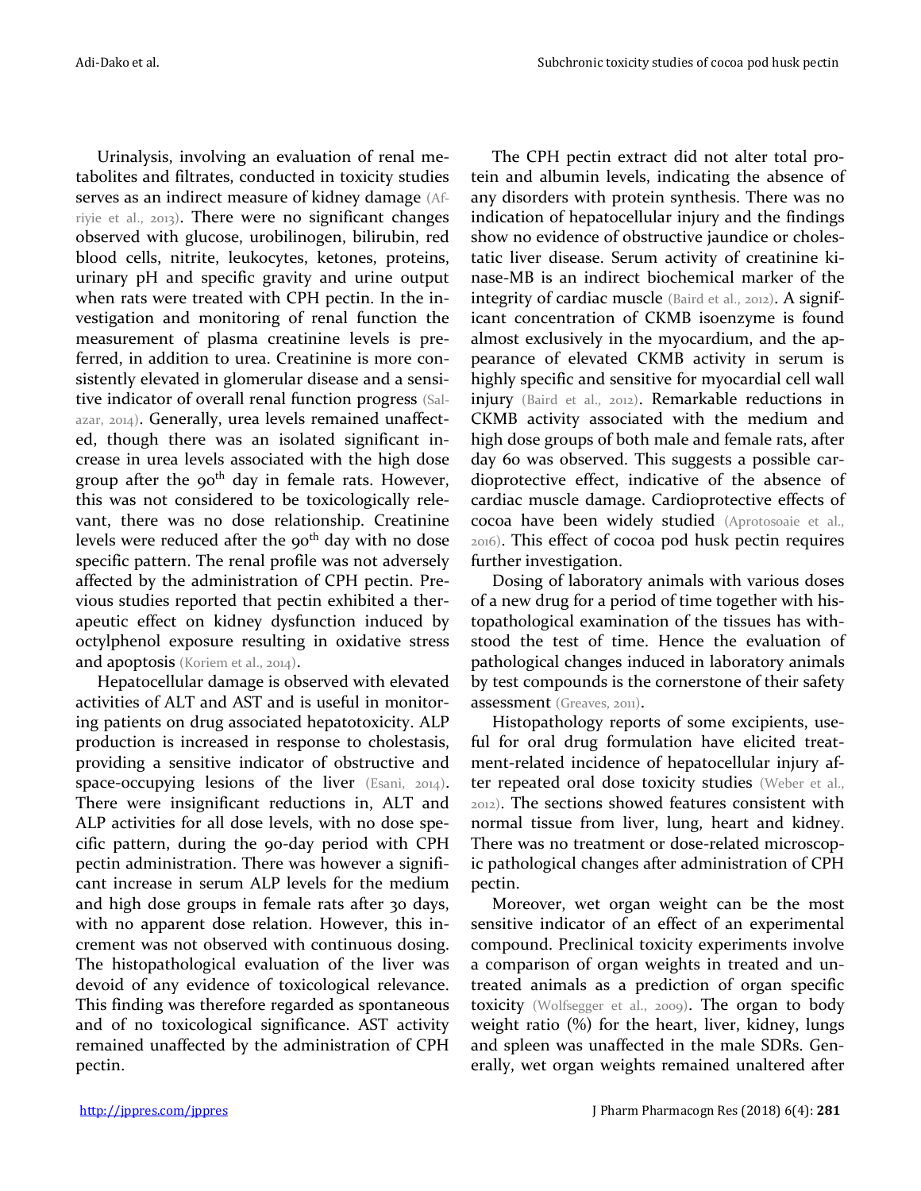Urinalysis, involving an evaluation of renal metabolites and filtrates, conducted in toxicity studies serves as an indirect measure of kidney damage (Afriyie et al., 2013). There were no significant changes observed with glucose, urobilinogen, bilirubin, red blood cells, nitrite, leukocytes, ketones, proteins, urinary pH and specific gravity and urine output when rats were treated with CPH pectin. In the investigation and monitoring of renal function the measurement of plasma creatinine levels is preferred, in addition to urea. Creatinine is more consistently elevated in glomerular disease and a sensitive indicator of overall renal function progress (Salazar, 2014). Generally, urea levels remained unaffected, though there was an isolated significant increase in urea levels associated with the high dose group after the  $90<sup>th</sup>$  day in female rats. However, this was not considered to be toxicologically relevant, there was no dose relationship. Creatinine levels were reduced after the  $90<sup>th</sup>$  day with no dose specific pattern. The renal profile was not adversely affected by the administration of CPH pectin. Previous studies reported that pectin exhibited a therapeutic effect on kidney dysfunction induced by octylphenol exposure resulting in oxidative stress and apoptosis (Koriem et al., 2014).

Hepatocellular damage is observed with elevated activities of ALT and AST and is useful in monitoring patients on drug associated hepatotoxicity. ALP production is increased in response to cholestasis, providing a sensitive indicator of obstructive and space-occupying lesions of the liver (Esani, 2014). There were insignificant reductions in, ALT and ALP activities for all dose levels, with no dose specific pattern, during the 90-day period with CPH pectin administration. There was however a significant increase in serum ALP levels for the medium and high dose groups in female rats after 30 days, with no apparent dose relation. However, this increment was not observed with continuous dosing. The histopathological evaluation of the liver was devoid of any evidence of toxicological relevance. This finding was therefore regarded as spontaneous and of no toxicological significance. AST activity remained unaffected by the administration of CPH pectin.

The CPH pectin extract did not alter total protein and albumin levels, indicating the absence of any disorders with protein synthesis. There was no indication of hepatocellular injury and the findings show no evidence of obstructive jaundice or cholestatic liver disease. Serum activity of creatinine kinase-MB is an indirect biochemical marker of the integrity of cardiac muscle (Baird et al., 2012). A significant concentration of CKMB isoenzyme is found almost exclusively in the myocardium, and the appearance of elevated CKMB activity in serum is highly specific and sensitive for myocardial cell wall injury (Baird et al., 2012). Remarkable reductions in CKMB activity associated with the medium and high dose groups of both male and female rats, after day 60 was observed. This suggests a possible cardioprotective effect, indicative of the absence of cardiac muscle damage. Cardioprotective effects of cocoa have been widely studied (Aprotosoaie et al., 2016). This effect of cocoa pod husk pectin requires further investigation.

Dosing of laboratory animals with various doses of a new drug for a period of time together with histopathological examination of the tissues has withstood the test of time. Hence the evaluation of pathological changes induced in laboratory animals by test compounds is the cornerstone of their safety assessment (Greaves, 2011).

Histopathology reports of some excipients, useful for oral drug formulation have elicited treatment-related incidence of hepatocellular injury after repeated oral dose toxicity studies (Weber et al., 2012). The sections showed features consistent with normal tissue from liver, lung, heart and kidney. There was no treatment or dose-related microscopic pathological changes after administration of CPH pectin.

Moreover, wet organ weight can be the most sensitive indicator of an effect of an experimental compound. Preclinical toxicity experiments involve a comparison of organ weights in treated and untreated animals as a prediction of organ specific toxicity (Wolfsegger et al., 2009). The organ to body weight ratio (%) for the heart, liver, kidney, lungs and spleen was unaffected in the male SDRs. Generally, wet organ weights remained unaltered after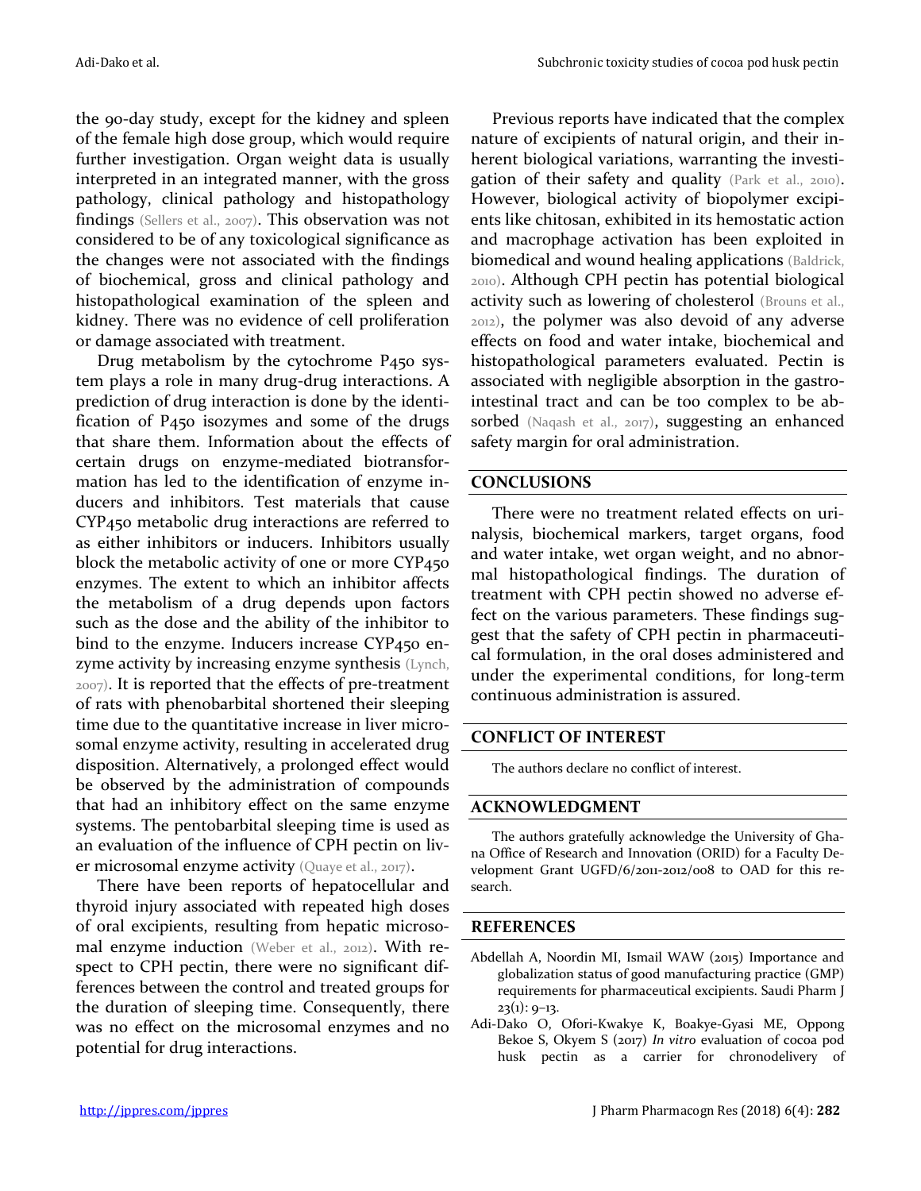the 90-day study, except for the kidney and spleen of the female high dose group, which would require further investigation. Organ weight data is usually interpreted in an integrated manner, with the gross pathology, clinical pathology and histopathology findings (Sellers et al., 2007). This observation was not considered to be of any toxicological significance as the changes were not associated with the findings of biochemical, gross and clinical pathology and histopathological examination of the spleen and kidney. There was no evidence of cell proliferation or damage associated with treatment.

Drug metabolism by the cytochrome P450 system plays a role in many drug-drug interactions. A prediction of drug interaction is done by the identification of P450 isozymes and some of the drugs that share them. Information about the effects of certain drugs on enzyme-mediated biotransformation has led to the identification of enzyme inducers and inhibitors. Test materials that cause CYP450 metabolic drug interactions are referred to as either inhibitors or inducers. Inhibitors usually block the metabolic activity of one or more CYP450 enzymes. The extent to which an inhibitor affects the metabolism of a drug depends upon factors such as the dose and the ability of the inhibitor to bind to the enzyme. Inducers increase CYP450 enzyme activity by increasing enzyme synthesis (Lynch, 2007). It is reported that the effects of pre-treatment of rats with phenobarbital shortened their sleeping time due to the quantitative increase in liver microsomal enzyme activity, resulting in accelerated drug disposition. Alternatively, a prolonged effect would be observed by the administration of compounds that had an inhibitory effect on the same enzyme systems. The pentobarbital sleeping time is used as an evaluation of the influence of CPH pectin on liver microsomal enzyme activity (Quaye et al., 2017).

There have been reports of hepatocellular and thyroid injury associated with repeated high doses of oral excipients, resulting from hepatic microsomal enzyme induction (Weber et al., 2012). With respect to CPH pectin, there were no significant differences between the control and treated groups for the duration of sleeping time. Consequently, there was no effect on the microsomal enzymes and no potential for drug interactions.

Previous reports have indicated that the complex nature of excipients of natural origin, and their inherent biological variations, warranting the investigation of their safety and quality (Park et al., 2010). However, biological activity of biopolymer excipients like chitosan, exhibited in its hemostatic action and macrophage activation has been exploited in biomedical and wound healing applications (Baldrick, 2010). Although CPH pectin has potential biological activity such as lowering of cholesterol (Brouns et al., 2012), the polymer was also devoid of any adverse effects on food and water intake, biochemical and histopathological parameters evaluated. Pectin is associated with negligible absorption in the gastrointestinal tract and can be too complex to be absorbed (Naqash et al., 2017), suggesting an enhanced safety margin for oral administration.

#### **CONCLUSIONS**

There were no treatment related effects on urinalysis, biochemical markers, target organs, food and water intake, wet organ weight, and no abnormal histopathological findings. The duration of treatment with CPH pectin showed no adverse effect on the various parameters. These findings suggest that the safety of CPH pectin in pharmaceutical formulation, in the oral doses administered and under the experimental conditions, for long-term continuous administration is assured.

#### **CONFLICT OF INTEREST**

The authors declare no conflict of interest.

#### **ACKNOWLEDGMENT**

The authors gratefully acknowledge the University of Ghana Office of Research and Innovation (ORID) for a Faculty Development Grant UGFD/6/2011-2012/008 to OAD for this research.

#### **REFERENCES**

- Abdellah A, Noordin MI, Ismail WAW (2015) Importance and globalization status of good manufacturing practice (GMP) requirements for pharmaceutical excipients. Saudi Pharm J  $23(1): 9-13.$
- Adi-Dako O, Ofori-Kwakye K, Boakye-Gyasi ME, Oppong Bekoe S, Okyem S (2017) *In vitro* evaluation of cocoa pod husk pectin as a carrier for chronodelivery of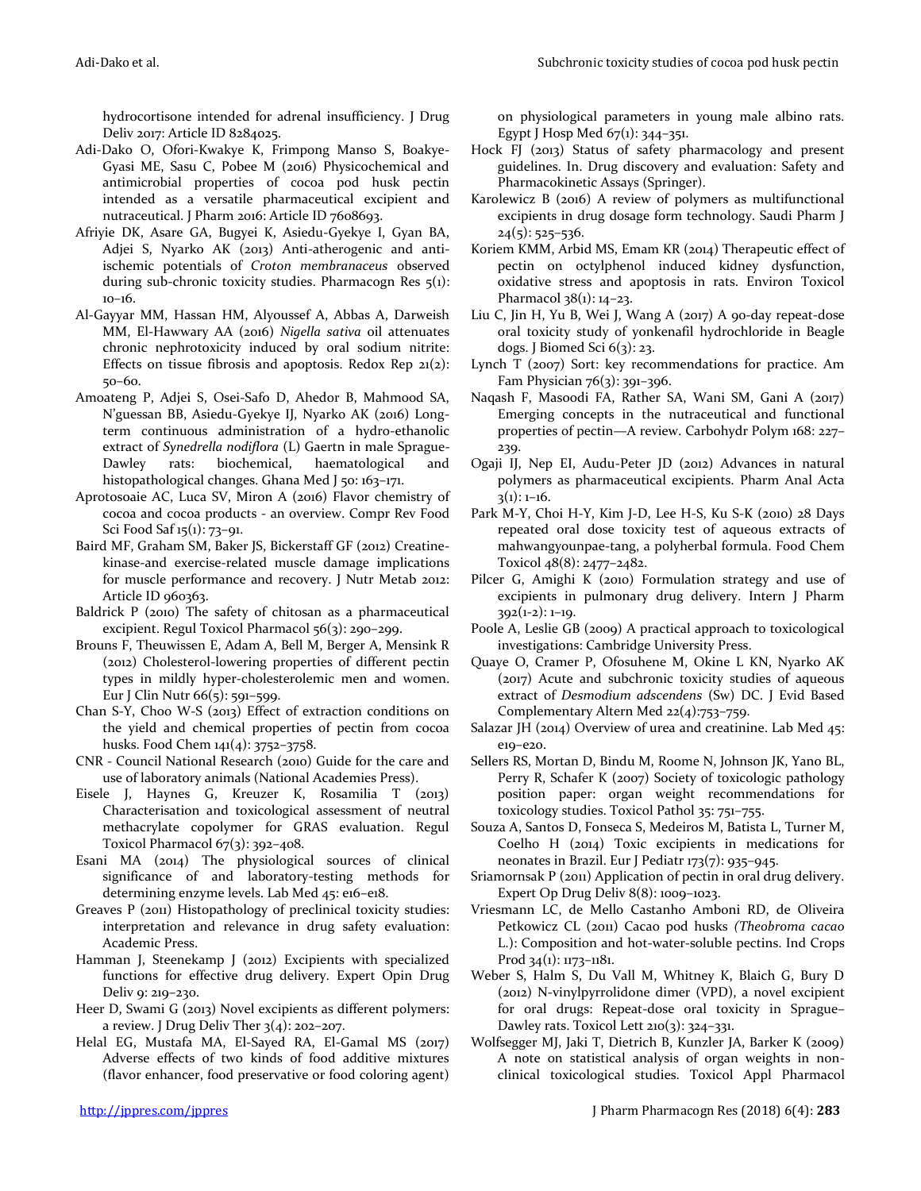hydrocortisone intended for adrenal insufficiency. J Drug Deliv 2017: Article ID 8284025.

- Adi-Dako O, Ofori-Kwakye K, Frimpong Manso S, Boakye-Gyasi ME, Sasu C, Pobee M (2016) Physicochemical and antimicrobial properties of cocoa pod husk pectin intended as a versatile pharmaceutical excipient and nutraceutical. J Pharm 2016: Article ID 7608693.
- Afriyie DK, Asare GA, Bugyei K, Asiedu-Gyekye I, Gyan BA, Adjei S, Nyarko AK (2013) Anti-atherogenic and antiischemic potentials of *Croton membranaceus* observed during sub-chronic toxicity studies. Pharmacogn Res 5(1): 10–16.
- Al-Gayyar MM, Hassan HM, Alyoussef A, Abbas A, Darweish MM, El-Hawwary AA (2016) *Nigella sativa* oil attenuates chronic nephrotoxicity induced by oral sodium nitrite: Effects on tissue fibrosis and apoptosis. Redox Rep  $21(2)$ : 50–60.
- Amoateng P, Adjei S, Osei-Safo D, Ahedor B, Mahmood SA, N'guessan BB, Asiedu-Gyekye IJ, Nyarko AK (2016) Longterm continuous administration of a hydro-ethanolic extract of *Synedrella nodiflora* (L) Gaertn in male Sprague-Dawley rats: biochemical, haematological and histopathological changes. Ghana Med J 50: 163-171.
- Aprotosoaie AC, Luca SV, Miron A (2016) Flavor chemistry of cocoa and cocoa products - an overview. Compr Rev Food Sci Food Saf 15(1): 73–91.
- Baird MF, Graham SM, Baker JS, Bickerstaff GF (2012) Creatinekinase-and exercise-related muscle damage implications for muscle performance and recovery. J Nutr Metab 2012: Article ID 960363.
- Baldrick P (2010) The safety of chitosan as a pharmaceutical excipient. Regul Toxicol Pharmacol 56(3): 290–299.
- Brouns F, Theuwissen E, Adam A, Bell M, Berger A, Mensink R (2012) Cholesterol-lowering properties of different pectin types in mildly hyper-cholesterolemic men and women. Eur J Clin Nutr 66(5): 591–599.
- Chan S-Y, Choo W-S (2013) Effect of extraction conditions on the yield and chemical properties of pectin from cocoa husks. Food Chem 141(4): 3752–3758.
- CNR Council National Research (2010) Guide for the care and use of laboratory animals (National Academies Press).
- Eisele J, Haynes G, Kreuzer K, Rosamilia T (2013) Characterisation and toxicological assessment of neutral methacrylate copolymer for GRAS evaluation. Regul Toxicol Pharmacol 67(3): 392–408.
- Esani MA (2014) The physiological sources of clinical significance of and laboratory-testing methods for determining enzyme levels. Lab Med 45: e16–e18.
- Greaves P (2011) Histopathology of preclinical toxicity studies: interpretation and relevance in drug safety evaluation: Academic Press.
- Hamman J, Steenekamp J (2012) Excipients with specialized functions for effective drug delivery. Expert Opin Drug Deliv 9: 219–230.
- Heer D, Swami G (2013) Novel excipients as different polymers: a review. J Drug Deliv Ther  $3(4)$ : 202-207.
- Helal EG, Mustafa MA, El-Sayed RA, El-Gamal MS (2017) Adverse effects of two kinds of food additive mixtures (flavor enhancer, food preservative or food coloring agent)

on physiological parameters in young male albino rats. Egypt J Hosp Med  $67(1)$ : 344–351.

- Hock FJ (2013) Status of safety pharmacology and present guidelines. In. Drug discovery and evaluation: Safety and Pharmacokinetic Assays (Springer).
- Karolewicz B (2016) A review of polymers as multifunctional excipients in drug dosage form technology. Saudi Pharm J 24(5): 525–536.
- Koriem KMM, Arbid MS, Emam KR (2014) Therapeutic effect of pectin on octylphenol induced kidney dysfunction, oxidative stress and apoptosis in rats. Environ Toxicol Pharmacol 38(1): 14-23.
- Liu C, Jin H, Yu B, Wei J, Wang A (2017) A 90-day repeat-dose oral toxicity study of yonkenafil hydrochloride in Beagle dogs. J Biomed Sci 6(3): 23.
- Lynch T (2007) Sort: key recommendations for practice. Am Fam Physician  $76(3)$ : 391-396.
- Naqash F, Masoodi FA, Rather SA, Wani SM, Gani A (2017) Emerging concepts in the nutraceutical and functional properties of pectin—A review. Carbohydr Polym 168: 227– 239.
- Ogaji IJ, Nep EI, Audu-Peter JD (2012) Advances in natural polymers as pharmaceutical excipients. Pharm Anal Acta  $3(1): 1-16.$
- Park M-Y, Choi H-Y, Kim J-D, Lee H-S, Ku S-K (2010) 28 Days repeated oral dose toxicity test of aqueous extracts of mahwangyounpae-tang, a polyherbal formula. Food Chem Toxicol 48(8): 2477–2482.
- Pilcer G, Amighi K (2010) Formulation strategy and use of excipients in pulmonary drug delivery. Intern J Pharm 392(1-2): 1–19.
- Poole A, Leslie GB (2009) A practical approach to toxicological investigations: Cambridge University Press.
- Quaye O, Cramer P, Ofosuhene M, Okine L KN, Nyarko AK (2017) Acute and subchronic toxicity studies of aqueous extract of *Desmodium adscendens* (Sw) DC. J Evid Based Complementary Altern Med 22(4):753–759.
- Salazar JH (2014) Overview of urea and creatinine. Lab Med 45: e19–e20.
- Sellers RS, Mortan D, Bindu M, Roome N, Johnson JK, Yano BL, Perry R, Schafer K (2007) Society of toxicologic pathology position paper: organ weight recommendations for toxicology studies. Toxicol Pathol 35: 751–755.
- Souza A, Santos D, Fonseca S, Medeiros M, Batista L, Turner M, Coelho H (2014) Toxic excipients in medications for neonates in Brazil. Eur J Pediatr 173(7): 935–945.
- Sriamornsak P (2011) Application of pectin in oral drug delivery. Expert Op Drug Deliv 8(8): 1009–1023.
- Vriesmann LC, de Mello Castanho Amboni RD, de Oliveira Petkowicz CL (2011) Cacao pod husks *(Theobroma cacao* L.): Composition and hot-water-soluble pectins. Ind Crops Prod 34(1): 1173–1181.
- Weber S, Halm S, Du Vall M, Whitney K, Blaich G, Bury D (2012) N-vinylpyrrolidone dimer (VPD), a novel excipient for oral drugs: Repeat-dose oral toxicity in Sprague– Dawley rats. Toxicol Lett 210(3): 324–331.
- Wolfsegger MJ, Jaki T, Dietrich B, Kunzler JA, Barker K (2009) A note on statistical analysis of organ weights in nonclinical toxicological studies. Toxicol Appl Pharmacol